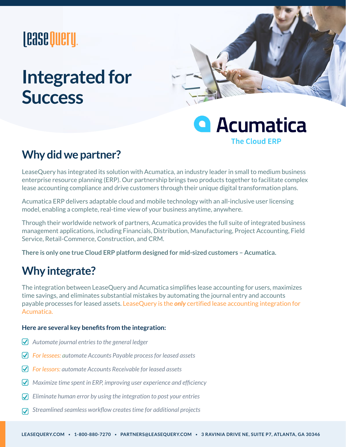# **|Case Query**

# **Integrated for Success**



## **A**cumatica **The Cloud ERP**

### **Why did we partner?**

LeaseQuery has integrated its solution with Acumatica, an industry leader in small to medium business enterprise resource planning (ERP). Our partnership brings two products together to facilitate complex lease accounting compliance and drive customers through their unique digital transformation plans.

Acumatica ERP delivers adaptable cloud and mobile technology with an all-inclusive user licensing model, enabling a complete, real-time view of your business anytime, anywhere.

Through their worldwide network of partners, Acumatica provides the full suite of integrated business management applications, including Financials, Distribution, Manufacturing, Project Accounting, Field Service, Retail-Commerce, Construction, and CRM.

**There is only one true Cloud ERP platform designed for mid-sized customers – Acumatica.**

### **Why integrate?**

The integration between LeaseQuery and Acumatica simplifies lease accounting for users, maximizes time savings, and eliminates substantial mistakes by automating the journal entry and accounts payable processes for leased assets. LeaseQuery is the *only* certified lease accounting integration for Acumatica.

### **Here are several key benefits from the integration:**

- *Automate journal entries to the general ledger*
- *For lessees: automate Accounts Payable process for leased assets*
- *For lessors: automate Accounts Receivable for leased assets*
- *Maximize time spent in ERP, improving user experience and efficiency*
- *Eliminate human error by using the integration to post your entries*  $\boldsymbol{\nabla}$
- *Streamlined seamless workflow creates time for additional projects*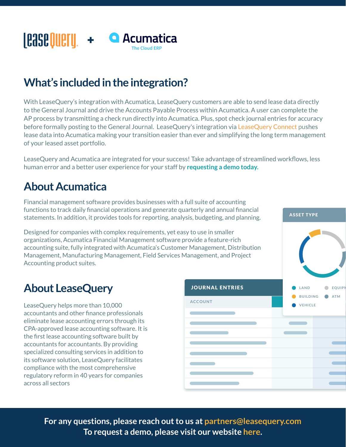#### **Lease Query** + **Q** Acumatica **The Cloud ERP**

## **What's included in the integration?**

With LeaseQuery's integration with Acumatica, LeaseQuery customers are able to send lease data directly to the General Journal and drive the Accounts Payable Process within Acumatica. A user can complete the AP process by transmitting a check run directly into Acumatica. Plus, spot check journal entries for accuracy before formally posting to the General Journal. LeaseQuery's integration v[ia LeaseQuery Connect](https://leasequery.com/connect/) pushes lease data into Acumatica making your transition easier than ever and simplifying the long term management of your leased asset portfolio.

LeaseQuery and Acumatica are integrated for your success! Take advantage of streamlined workflows, less human error and a better user experience for your staff by **[requesting a demo today.](https://leasequery.com/free-demo/)** 

### **About Acumatica**

Financial management software provides businesses with a full suite of accounting functions to track daily financial operations and generate quarterly and annual financial statements. In addition, it provides tools for reporting, analysis, budgeting, and planning.

Designed for companies with complex requirements, yet easy to use in smaller organizations, Acumatica Financial Management software provide a feature-rich accounting suite, fully integrated with Acumatica's Customer Management, Distribution Management, Manufacturing Management, Field Services Management, and Project Accounting product suites.

### **About LeaseQuery**

LeaseQuery helps more than 10,000 accountants and other finance professionals eliminate lease accounting errors through its CPA-approved lease accounting software. It is the first lease accounting software built by accountants for accountants. By providing specialized consulting services in addition to its software solution, LeaseQuery facilitates compliance with the most comprehensive regulatory reform in 40 years for companies across all sectors



**ACE HA...**

ASSET TYPE

**For any questions, please reach out to us at [partners@leasequery.com](mailto:partners@leasequery.com) To request a demo, please visit our website [here.](https://leasequery.com/free-demo/)**